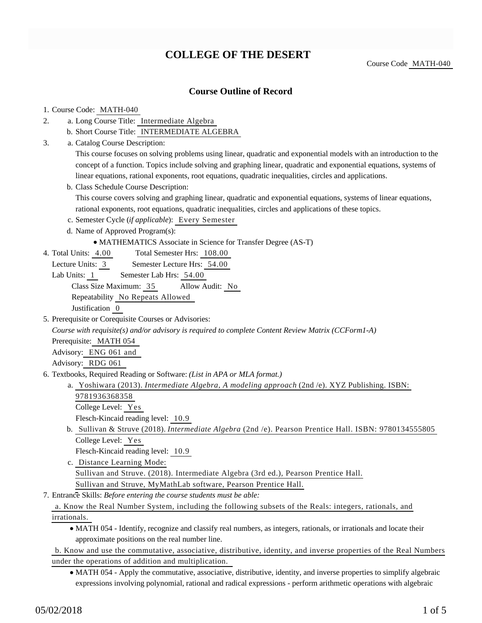# **COLLEGE OF THE DESERT**

Course Code MATH-040

## **Course Outline of Record**

#### 1. Course Code: MATH-040

- a. Long Course Title: Intermediate Algebra 2.
	- b. Short Course Title: INTERMEDIATE ALGEBRA
- Catalog Course Description: a. 3.

This course focuses on solving problems using linear, quadratic and exponential models with an introduction to the concept of a function. Topics include solving and graphing linear, quadratic and exponential equations, systems of linear equations, rational exponents, root equations, quadratic inequalities, circles and applications.

b. Class Schedule Course Description:

This course covers solving and graphing linear, quadratic and exponential equations, systems of linear equations, rational exponents, root equations, quadratic inequalities, circles and applications of these topics.

- c. Semester Cycle (*if applicable*): Every Semester
- d. Name of Approved Program(s):
	- MATHEMATICS Associate in Science for Transfer Degree (AS-T)
- Total Semester Hrs: 108.00 4. Total Units: 4.00
	- Lecture Units: 3 Semester Lecture Hrs: 54.00
	- Lab Units: 1 Semester Lab Hrs: 54.00

Class Size Maximum: 35 Allow Audit: No

Repeatability No Repeats Allowed

Justification 0

5. Prerequisite or Corequisite Courses or Advisories:

*Course with requisite(s) and/or advisory is required to complete Content Review Matrix (CCForm1-A)*

Prerequisite: MATH 054

Advisory: ENG 061 and

Advisory: RDG 061

- 6. Textbooks, Required Reading or Software: (List in APA or MLA format.)
	- a. Yoshiwara (2013). *Intermediate Algebra, A modeling approach* (2nd /e). XYZ Publishing. ISBN:
		- 9781936368358
		- College Level: Yes
		- Flesch-Kincaid reading level: 10.9
	- b. Sullivan & Struve (2018). *Intermediate Algebra* (2nd /e). Pearson Prentice Hall. ISBN: 9780134555805 College Level: Yes

Flesch-Kincaid reading level: 10.9

- c. Distance Learning Mode: Sullivan and Struve. (2018). Intermediate Algebra (3rd ed.), Pearson Prentice Hall. Sullivan and Struve, MyMathLab software, Pearson Prentice Hall.
- Entrance Skills: *Before entering the course students must be able:* 7.

a. Know the Real Number System, including the following subsets of the Reals: integers, rationals, and irrationals.

MATH 054 - Identify, recognize and classify real numbers, as integers, rationals, or irrationals and locate their approximate positions on the real number line.

b. Know and use the commutative, associative, distributive, identity, and inverse properties of the Real Numbers under the operations of addition and multiplication.

MATH 054 - Apply the commutative, associative, distributive, identity, and inverse properties to simplify algebraic expressions involving polynomial, rational and radical expressions - perform arithmetic operations with algebraic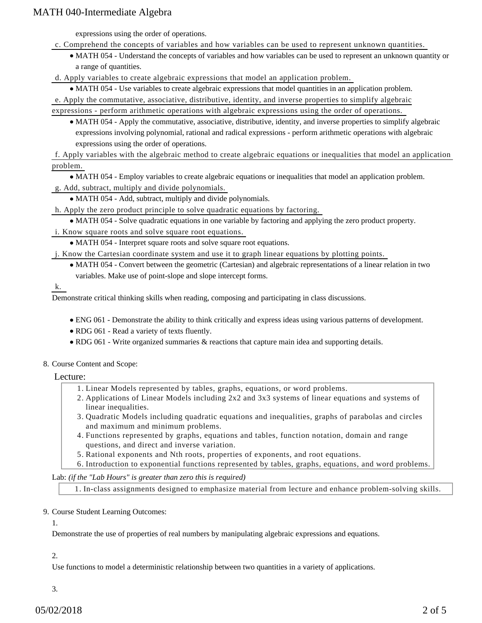expressions using the order of operations.

- c. Comprehend the concepts of variables and how variables can be used to represent unknown quantities.
	- MATH 054 Understand the concepts of variables and how variables can be used to represent an unknown quantity or a range of quantities.

d. Apply variables to create algebraic expressions that model an application problem.

MATH 054 - Use variables to create algebraic expressions that model quantities in an application problem.

e. Apply the commutative, associative, distributive, identity, and inverse properties to simplify algebraic

expressions - perform arithmetic operations with algebraic expressions using the order of operations.

MATH 054 - Apply the commutative, associative, distributive, identity, and inverse properties to simplify algebraic expressions involving polynomial, rational and radical expressions - perform arithmetic operations with algebraic expressions using the order of operations.

f. Apply variables with the algebraic method to create algebraic equations or inequalities that model an application problem.

MATH 054 - Employ variables to create algebraic equations or inequalities that model an application problem.

- g. Add, subtract, multiply and divide polynomials.
	- MATH 054 Add, subtract, multiply and divide polynomials.

h. Apply the zero product principle to solve quadratic equations by factoring.

MATH 054 - Solve quadratic equations in one variable by factoring and applying the zero product property.

#### i. Know square roots and solve square root equations.

MATH 054 - Interpret square roots and solve square root equations.

j. Know the Cartesian coordinate system and use it to graph linear equations by plotting points.

MATH 054 - Convert between the geometric (Cartesian) and algebraic representations of a linear relation in two variables. Make use of point-slope and slope intercept forms.

k.

Demonstrate critical thinking skills when reading, composing and participating in class discussions.

- ENG 061 Demonstrate the ability to think critically and express ideas using various patterns of development.
- RDG 061 Read a variety of texts fluently.
- RDG 061 Write organized summaries & reactions that capture main idea and supporting details.
- 8. Course Content and Scope:

Lecture:

- 1. Linear Models represented by tables, graphs, equations, or word problems.
- 2. Applications of Linear Models including 2x2 and 3x3 systems of linear equations and systems of linear inequalities.
- Quadratic Models including quadratic equations and inequalities, graphs of parabolas and circles 3. and maximum and minimum problems.
- Functions represented by graphs, equations and tables, function notation, domain and range 4. questions, and direct and inverse variation.
- 5. Rational exponents and Nth roots, properties of exponents, and root equations.
- 6. Introduction to exponential functions represented by tables, graphs, equations, and word problems.

Lab: *(if the "Lab Hours" is greater than zero this is required)*

1. In-class assignments designed to emphasize material from lecture and enhance problem-solving skills.

#### 9. Course Student Learning Outcomes:

1.

Demonstrate the use of properties of real numbers by manipulating algebraic expressions and equations.

2.

Use functions to model a deterministic relationship between two quantities in a variety of applications.

3.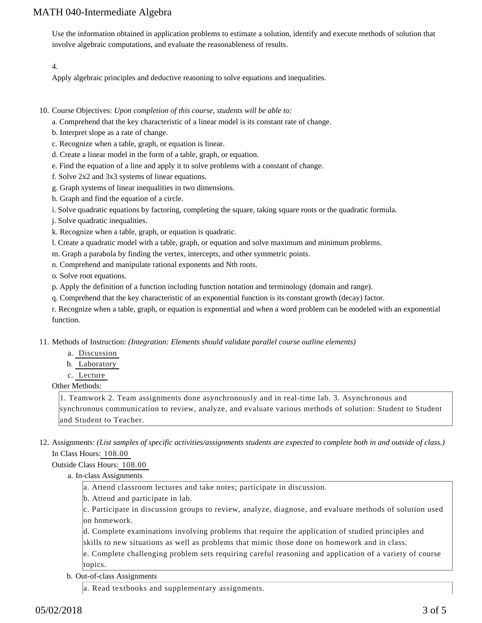Use the information obtained in application problems to estimate a solution, identify and execute methods of solution that involve algebraic computations, and evaluate the reasonableness of results.

#### 4.

Apply algebraic principles and deductive reasoning to solve equations and inequalities.

- 10. Course Objectives: Upon completion of this course, students will be able to:
	- a. Comprehend that the key characteristic of a linear model is its constant rate of change.
	- b. Interpret slope as a rate of change.
	- c. Recognize when a table, graph, or equation is linear.
	- d. Create a linear model in the form of a table, graph, or equation.
	- e. Find the equation of a line and apply it to solve problems with a constant of change.
	- f. Solve 2x2 and 3x3 systems of linear equations.
	- g. Graph systems of linear inequalities in two dimensions.
	- h. Graph and find the equation of a circle.
	- i. Solve quadratic equations by factoring, completing the square, taking square roots or the quadratic formula.
	- j. Solve quadratic inequalities.
	- k. Recognize when a table, graph, or equation is quadratic.
	- l. Create a quadratic model with a table, graph, or equation and solve maximum and minimum problems.
	- m. Graph a parabola by finding the vertex, intercepts, and other symmetric points.
	- n. Comprehend and manipulate rational exponents and Nth roots.

o. Solve root equations.

- p. Apply the definition of a function including function notation and terminology (domain and range).
- q. Comprehend that the key characteristic of an exponential function is its constant growth (decay) factor.

r. Recognize when a table, graph, or equation is exponential and when a word problem can be modeled with an exponential function.

11. Methods of Instruction: *(Integration: Elements should validate parallel course outline elements)* 

- a. Discussion
- b. Laboratory
- c. Lecture

#### Other Methods:

1. Teamwork 2. Team assignments done asynchronously and in real-time lab. 3. Asynchronous and synchronous communication to review, analyze, and evaluate various methods of solution: Student to Student and Student to Teacher.

12. Assignments: (List samples of specific activities/assignments students are expected to complete both in and outside of class.) In Class Hours: 108.00

#### Outside Class Hours: 108.00

- a. In-class Assignments
	- a. Attend classroom lectures and take notes; participate in discussion.
	- b. Attend and participate in lab.

c. Participate in discussion groups to review, analyze, diagnose, and evaluate methods of solution used on homework.

- d. Complete examinations involving problems that require the application of studied principles and
- skills to new situations as well as problems that mimic those done on homework and in class.

e. Complete challenging problem sets requiring careful reasoning and application of a variety of course topics.

b. Out-of-class Assignments

a. Read textbooks and supplementary assignments.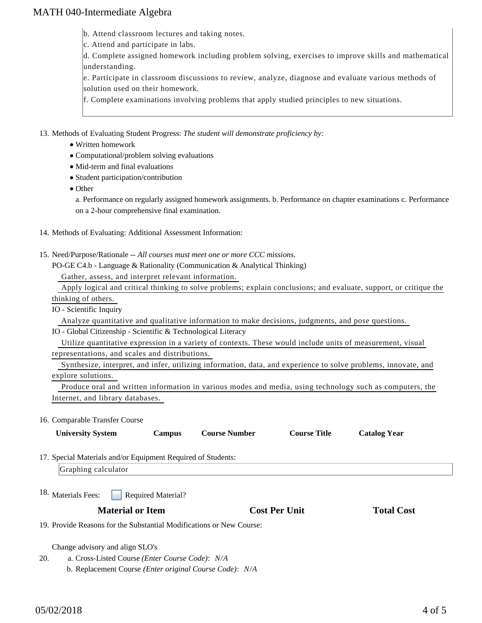b. Attend classroom lectures and taking notes.

c. Attend and participate in labs.

d. Complete assigned homework including problem solving, exercises to improve skills and mathematical understanding.

e. Participate in classroom discussions to review, analyze, diagnose and evaluate various methods of solution used on their homework.

f. Complete examinations involving problems that apply studied principles to new situations.

13. Methods of Evaluating Student Progress: The student will demonstrate proficiency by:

- Written homework
- Computational/problem solving evaluations
- Mid-term and final evaluations
- Student participation/contribution
- Other

a. Performance on regularly assigned homework assignments. b. Performance on chapter examinations c. Performance on a 2-hour comprehensive final examination.

#### 14. Methods of Evaluating: Additional Assessment Information:

15. Need/Purpose/Rationale -- All courses must meet one or more CCC missions.

PO-GE C4.b - Language & Rationality (Communication & Analytical Thinking) Gather, assess, and interpret relevant information.

Apply logical and critical thinking to solve problems; explain conclusions; and evaluate, support, or critique the

thinking of others.

IO - Scientific Inquiry

Analyze quantitative and qualitative information to make decisions, judgments, and pose questions.

#### IO - Global Citizenship - Scientific & Technological Literacy

 Utilize quantitative expression in a variety of contexts. These would include units of measurement, visual representations, and scales and distributions.

 Synthesize, interpret, and infer, utilizing information, data, and experience to solve problems, innovate, and explore solutions.

 Produce oral and written information in various modes and media, using technology such as computers, the Internet, and library databases.

#### 16. Comparable Transfer Course

|                                                                      | <b>University System</b>                                                | Campus                    | <b>Course Number</b> | <b>Course Title</b>  | <b>Catalog Year</b> |  |  |
|----------------------------------------------------------------------|-------------------------------------------------------------------------|---------------------------|----------------------|----------------------|---------------------|--|--|
|                                                                      | 17. Special Materials and/or Equipment Required of Students:            |                           |                      |                      |                     |  |  |
|                                                                      | Graphing calculator                                                     |                           |                      |                      |                     |  |  |
| <sup>18.</sup> Materials Fees:                                       | <b>Material or Item</b>                                                 | <b>Required Material?</b> |                      | <b>Cost Per Unit</b> | <b>Total Cost</b>   |  |  |
| 19. Provide Reasons for the Substantial Modifications or New Course: |                                                                         |                           |                      |                      |                     |  |  |
|                                                                      | Change advisory and align SLO's                                         |                           |                      |                      |                     |  |  |
| 20.                                                                  | a. Cross-Listed Course ( <i>Enter Course Code</i> ): N/A                |                           |                      |                      |                     |  |  |
|                                                                      | b. Replacement Course ( <i>Enter original Course Code</i> ): <i>N/A</i> |                           |                      |                      |                     |  |  |